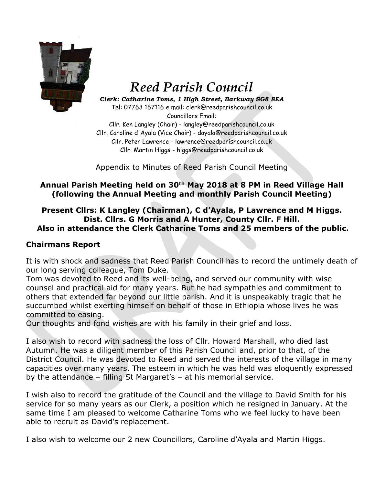

# *Reed Parish Council*

*Clerk: Catharine Toms, 1 High Street, Barkway SG8 8EA* Tel: 07763 167116 e mail: clerk@reedparishcouncil.co.uk Councillors Email:

Cllr. Ken Langley (Chair) - langley@reedparishcouncil.co.uk Cllr. Caroline d'Ayala (Vice Chair) - dayala@reedparishcouncil.co.uk Cllr. Peter Lawrence - lawrence@reedparishcouncil.co.uk Cllr. Martin Higgs - higgs@reedparishcouncil.co.uk

Appendix to Minutes of Reed Parish Council Meeting

## **Annual Parish Meeting held on 30th May 2018 at 8 PM in Reed Village Hall (following the Annual Meeting and monthly Parish Council Meeting)**

#### **Present Cllrs: K Langley (Chairman), C d'Ayala, P Lawrence and M Higgs. Dist. Cllrs. G Morris and A Hunter, County Cllr. F Hill. Also in attendance the Clerk Catharine Toms and 25 members of the public.**

### **Chairmans Report**

It is with shock and sadness that Reed Parish Council has to record the untimely death of our long serving colleague, Tom Duke.

Tom was devoted to Reed and its well-being, and served our community with wise counsel and practical aid for many years. But he had sympathies and commitment to others that extended far beyond our little parish. And it is unspeakably tragic that he succumbed whilst exerting himself on behalf of those in Ethiopia whose lives he was committed to easing.

Our thoughts and fond wishes are with his family in their grief and loss.

I also wish to record with sadness the loss of Cllr. Howard Marshall, who died last Autumn. He was a diligent member of this Parish Council and, prior to that, of the District Council. He was devoted to Reed and served the interests of the village in many capacities over many years. The esteem in which he was held was eloquently expressed by the attendance – filling St Margaret's – at his memorial service.

I wish also to record the gratitude of the Council and the village to David Smith for his service for so many years as our Clerk, a position which he resigned in January. At the same time I am pleased to welcome Catharine Toms who we feel lucky to have been able to recruit as David's replacement.

I also wish to welcome our 2 new Councillors, Caroline d'Ayala and Martin Higgs.